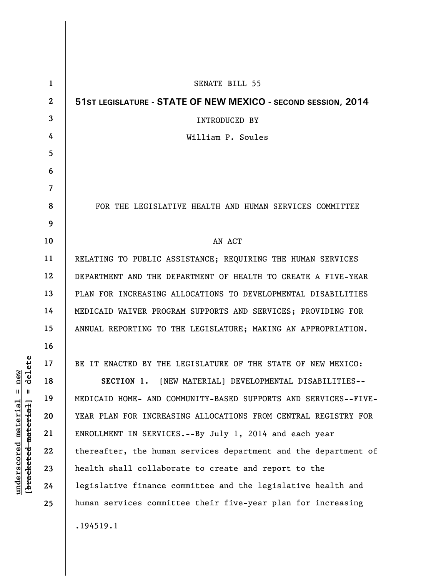| $\mathbf 1$    | <b>SENATE BILL 55</b>                                           |
|----------------|-----------------------------------------------------------------|
| $\overline{2}$ | 51ST LEGISLATURE - STATE OF NEW MEXICO - SECOND SESSION, 2014   |
| 3              | <b>INTRODUCED BY</b>                                            |
| 4              | William P. Soules                                               |
| 5              |                                                                 |
| 6              |                                                                 |
| $\overline{7}$ |                                                                 |
| 8              | FOR THE LEGISLATIVE HEALTH AND HUMAN SERVICES COMMITTEE         |
| 9              |                                                                 |
| 10             | AN ACT                                                          |
| 11             | RELATING TO PUBLIC ASSISTANCE; REQUIRING THE HUMAN SERVICES     |
| 12             | DEPARTMENT AND THE DEPARTMENT OF HEALTH TO CREATE A FIVE-YEAR   |
| 13             | PLAN FOR INCREASING ALLOCATIONS TO DEVELOPMENTAL DISABILITIES   |
| 14             | MEDICAID WAIVER PROGRAM SUPPORTS AND SERVICES; PROVIDING FOR    |
| 15             | ANNUAL REPORTING TO THE LEGISLATURE; MAKING AN APPROPRIATION.   |
| 16             |                                                                 |
| 17             | BE IT ENACTED BY THE LEGISLATURE OF THE STATE OF NEW MEXICO:    |
| 18             | SECTION 1.<br>[NEW MATERIAL] DEVELOPMENTAL DISABILITIES--       |
| 19             | MEDICAID HOME- AND COMMUNITY-BASED SUPPORTS AND SERVICES--FIVE- |
| 20             | YEAR PLAN FOR INCREASING ALLOCATIONS FROM CENTRAL REGISTRY FOR  |
| 21             | ENROLLMENT IN SERVICES.--By July 1, 2014 and each year          |
| 22             | thereafter, the human services department and the department of |
| 23             | health shall collaborate to create and report to the            |
| 24             | legislative finance committee and the legislative health and    |
| 25             | human services committee their five-year plan for increasing    |
|                | .194519.1                                                       |

**underscored material = new [bracketed material] = delete**

 $[**bracket eted metert et**] = **del et e**$  $underscored material = new$ 

 $\overline{\phantom{a}}$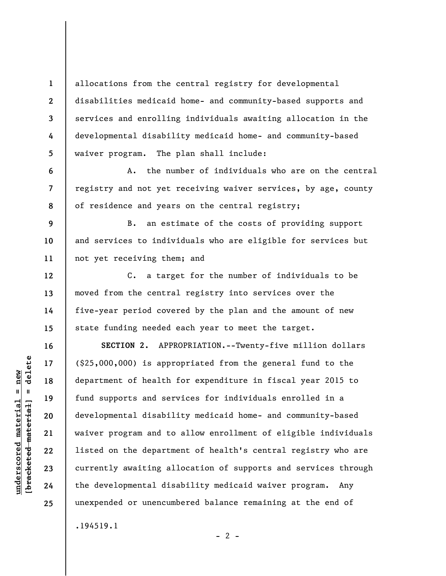allocations from the central registry for developmental disabilities medicaid home- and community-based supports and services and enrolling individuals awaiting allocation in the developmental disability medicaid home- and community-based waiver program. The plan shall include:

A. the number of individuals who are on the central registry and not yet receiving waiver services, by age, county of residence and years on the central registry;

**11**  B. an estimate of the costs of providing support and services to individuals who are eligible for services but not yet receiving them; and

C. a target for the number of individuals to be moved from the central registry into services over the five-year period covered by the plan and the amount of new state funding needed each year to meet the target.

**SECTION 2.** APPROPRIATION.--Twenty-five million dollars (\$25,000,000) is appropriated from the general fund to the department of health for expenditure in fiscal year 2015 to fund supports and services for individuals enrolled in a developmental disability medicaid home- and community-based waiver program and to allow enrollment of eligible individuals listed on the department of health's central registry who are currently awaiting allocation of supports and services through the developmental disability medicaid waiver program. Any unexpended or unencumbered balance remaining at the end of .194519.1

**1** 

**2** 

**3** 

**4** 

**5** 

**6** 

**7** 

**8** 

**9** 

**10** 

**12** 

**13** 

**14** 

**15** 

**16** 

**17** 

**18** 

**19** 

**20** 

**21** 

**22** 

**23** 

**24** 

**25** 

 $- 2 -$